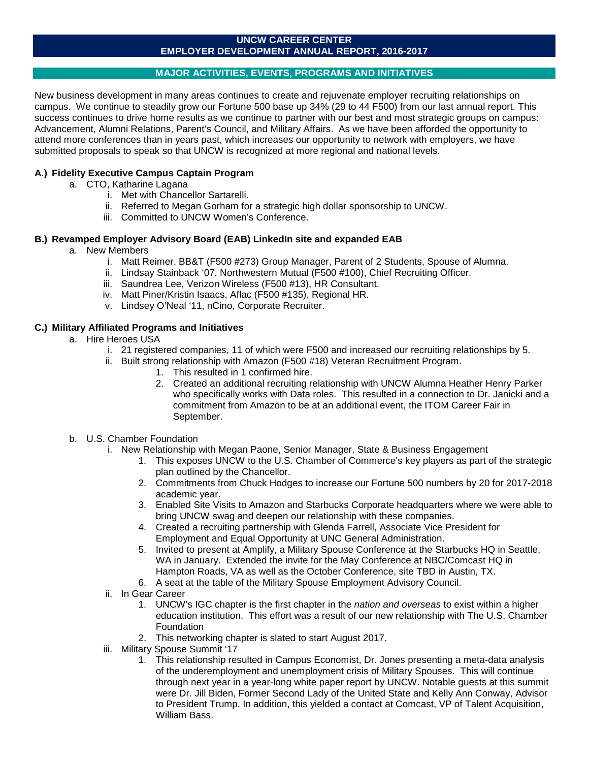### **UNCW CAREER CENTER EMPLOYER DEVELOPMENT ANNUAL REPORT, 2016-2017**

## **MAJOR ACTIVITIES, EVENTS, PROGRAMS AND INITIATIVES**

New business development in many areas continues to create and rejuvenate employer recruiting relationships on campus. We continue to steadily grow our Fortune 500 base up 34% (29 to 44 F500) from our last annual report. This success continues to drive home results as we continue to partner with our best and most strategic groups on campus: Advancement, Alumni Relations, Parent's Council, and Military Affairs. As we have been afforded the opportunity to attend more conferences than in years past, which increases our opportunity to network with employers, we have submitted proposals to speak so that UNCW is recognized at more regional and national levels.

## **A.) Fidelity Executive Campus Captain Program**

- a. CTO, Katharine Lagana
	- i. Met with Chancellor Sartarelli.
	- ii. Referred to Megan Gorham for a strategic high dollar sponsorship to UNCW.
	- iii. Committed to UNCW Women's Conference.

## **B.) Revamped Employer Advisory Board (EAB) LinkedIn site and expanded EAB**

## a. New Members

- i. Matt Reimer, BB&T (F500 #273) Group Manager, Parent of 2 Students, Spouse of Alumna.
- ii. Lindsay Stainback '07, Northwestern Mutual (F500 #100), Chief Recruiting Officer.
- iii. Saundrea Lee, Verizon Wireless (F500 #13), HR Consultant.
- iv. Matt Piner/Kristin Isaacs, Aflac (F500 #135), Regional HR.
- v. Lindsey O'Neal '11, nCino, Corporate Recruiter.

## **C.) Military Affiliated Programs and Initiatives**

- a. Hire Heroes USA
	- i. 21 registered companies, 11 of which were F500 and increased our recruiting relationships by 5.
	- ii. Built strong relationship with Amazon (F500 #18) Veteran Recruitment Program.
		- 1. This resulted in 1 confirmed hire.
		- 2. Created an additional recruiting relationship with UNCW Alumna Heather Henry Parker who specifically works with Data roles. This resulted in a connection to Dr. Janicki and a commitment from Amazon to be at an additional event, the ITOM Career Fair in September.
- b. U.S. Chamber Foundation
	- i. New Relationship with Megan Paone, Senior Manager, State & Business Engagement
		- 1. This exposes UNCW to the U.S. Chamber of Commerce's key players as part of the strategic plan outlined by the Chancellor.
		- 2. Commitments from Chuck Hodges to increase our Fortune 500 numbers by 20 for 2017-2018 academic year.
		- 3. Enabled Site Visits to Amazon and Starbucks Corporate headquarters where we were able to bring UNCW swag and deepen our relationship with these companies.
		- 4. Created a recruiting partnership with Glenda Farrell, Associate Vice President for Employment and Equal Opportunity at UNC General Administration.
		- 5. Invited to present at Amplify, a Military Spouse Conference at the Starbucks HQ in Seattle, WA in January. Extended the invite for the May Conference at NBC/Comcast HQ in Hampton Roads, VA as well as the October Conference, site TBD in Austin, TX.
		- 6. A seat at the table of the Military Spouse Employment Advisory Council.
	- ii. In Gear Career
		- 1. UNCW's IGC chapter is the first chapter in the *nation and overseas* to exist within a higher education institution. This effort was a result of our new relationship with The U.S. Chamber Foundation
		- 2. This networking chapter is slated to start August 2017.
	- iii. Military Spouse Summit '17
		- 1. This relationship resulted in Campus Economist, Dr. Jones presenting a meta-data analysis of the underemployment and unemployment crisis of Military Spouses. This will continue through next year in a year-long white paper report by UNCW. Notable guests at this summit were Dr. Jill Biden, Former Second Lady of the United State and Kelly Ann Conway, Advisor to President Trump. In addition, this yielded a contact at Comcast, VP of Talent Acquisition, William Bass.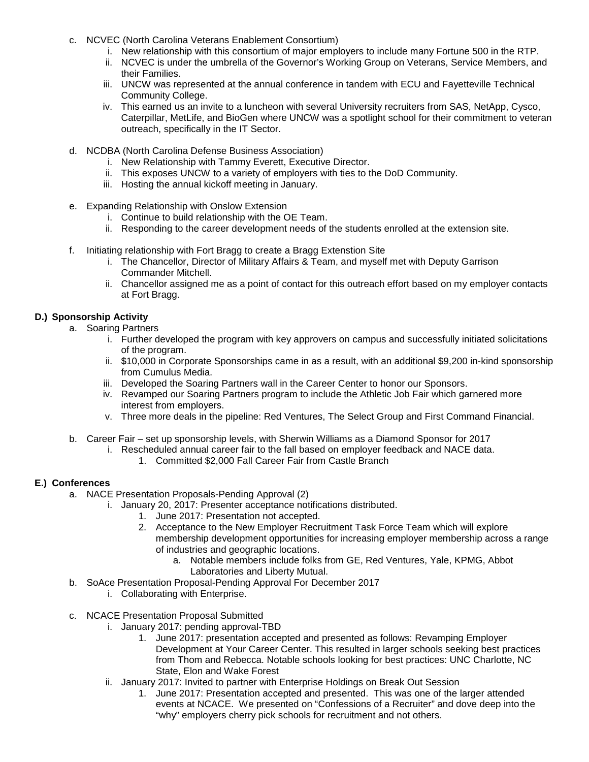- c. NCVEC (North Carolina Veterans Enablement Consortium)
	- i. New relationship with this consortium of major employers to include many Fortune 500 in the RTP.
	- ii. NCVEC is under the umbrella of the Governor's Working Group on Veterans, Service Members, and their Families.
	- iii. UNCW was represented at the annual conference in tandem with ECU and Fayetteville Technical Community College.
	- iv. This earned us an invite to a luncheon with several University recruiters from SAS, NetApp, Cysco, Caterpillar, MetLife, and BioGen where UNCW was a spotlight school for their commitment to veteran outreach, specifically in the IT Sector.
- d. NCDBA (North Carolina Defense Business Association)
	- i. New Relationship with Tammy Everett, Executive Director.
	- ii. This exposes UNCW to a variety of employers with ties to the DoD Community.
	- iii. Hosting the annual kickoff meeting in January.
- e. Expanding Relationship with Onslow Extension
	- i. Continue to build relationship with the OE Team.
	- ii. Responding to the career development needs of the students enrolled at the extension site.
- f. Initiating relationship with Fort Bragg to create a Bragg Extenstion Site
	- i. The Chancellor, Director of Military Affairs & Team, and myself met with Deputy Garrison Commander Mitchell.
	- ii. Chancellor assigned me as a point of contact for this outreach effort based on my employer contacts at Fort Bragg.

### **D.) Sponsorship Activity**

- a. Soaring Partners
	- i. Further developed the program with key approvers on campus and successfully initiated solicitations of the program.
	- ii. \$10,000 in Corporate Sponsorships came in as a result, with an additional \$9,200 in-kind sponsorship from Cumulus Media.
	- iii. Developed the Soaring Partners wall in the Career Center to honor our Sponsors.
	- iv. Revamped our Soaring Partners program to include the Athletic Job Fair which garnered more interest from employers.
	- v. Three more deals in the pipeline: Red Ventures, The Select Group and First Command Financial.
- b. Career Fair set up sponsorship levels, with Sherwin Williams as a Diamond Sponsor for 2017
	- i. Rescheduled annual career fair to the fall based on employer feedback and NACE data.
		- 1. Committed \$2,000 Fall Career Fair from Castle Branch

## **E.) Conferences**

- a. NACE Presentation Proposals-Pending Approval (2)
	- i. January 20, 2017: Presenter acceptance notifications distributed.
		- 1. June 2017: Presentation not accepted.
		- 2. Acceptance to the New Employer Recruitment Task Force Team which will explore membership development opportunities for increasing employer membership across a range of industries and geographic locations.
			- a. Notable members include folks from GE, Red Ventures, Yale, KPMG, Abbot Laboratories and Liberty Mutual.
- b. SoAce Presentation Proposal-Pending Approval For December 2017
	- i. Collaborating with Enterprise.
- c. NCACE Presentation Proposal Submitted
	- i. January 2017: pending approval-TBD
		- 1. June 2017: presentation accepted and presented as follows: Revamping Employer Development at Your Career Center. This resulted in larger schools seeking best practices from Thom and Rebecca. Notable schools looking for best practices: UNC Charlotte, NC State, Elon and Wake Forest
	- ii. January 2017: Invited to partner with Enterprise Holdings on Break Out Session
		- 1. June 2017: Presentation accepted and presented. This was one of the larger attended events at NCACE. We presented on "Confessions of a Recruiter" and dove deep into the "why" employers cherry pick schools for recruitment and not others.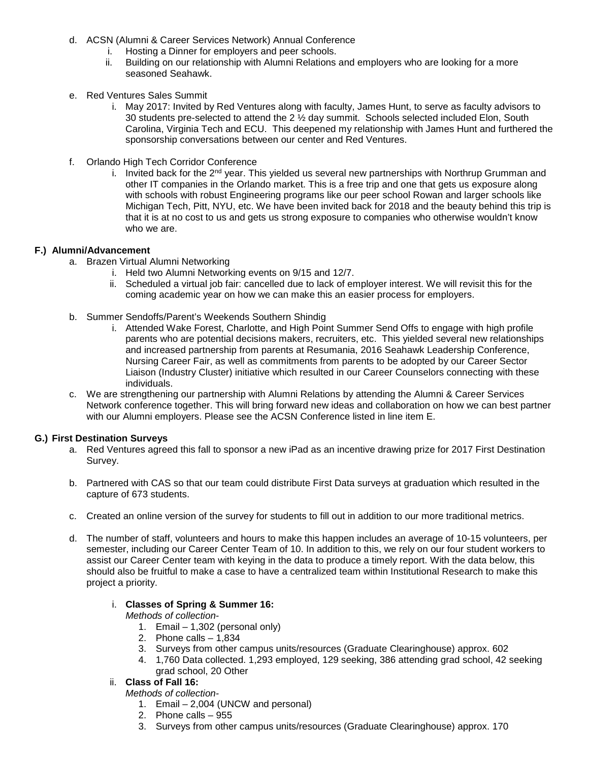- d. ACSN (Alumni & Career Services Network) Annual Conference
	- i. Hosting a Dinner for employers and peer schools.
	- Building on our relationship with Alumni Relations and employers who are looking for a more seasoned Seahawk.
- e. Red Ventures Sales Summit
	- i. May 2017: Invited by Red Ventures along with faculty, James Hunt, to serve as faculty advisors to 30 students pre-selected to attend the  $2 \frac{1}{2}$  day summit. Schools selected included Elon, South Carolina, Virginia Tech and ECU. This deepened my relationship with James Hunt and furthered the sponsorship conversations between our center and Red Ventures.
- f. Orlando High Tech Corridor Conference
	- i. Invited back for the 2<sup>nd</sup> year. This yielded us several new partnerships with Northrup Grumman and other IT companies in the Orlando market. This is a free trip and one that gets us exposure along with schools with robust Engineering programs like our peer school Rowan and larger schools like Michigan Tech, Pitt, NYU, etc. We have been invited back for 2018 and the beauty behind this trip is that it is at no cost to us and gets us strong exposure to companies who otherwise wouldn't know who we are.

### **F.) Alumni/Advancement**

- a. Brazen Virtual Alumni Networking
	- i. Held two Alumni Networking events on 9/15 and 12/7.
	- ii. Scheduled a virtual job fair: cancelled due to lack of employer interest. We will revisit this for the coming academic year on how we can make this an easier process for employers.
- b. Summer Sendoffs/Parent's Weekends Southern Shindig
	- i. Attended Wake Forest, Charlotte, and High Point Summer Send Offs to engage with high profile parents who are potential decisions makers, recruiters, etc. This yielded several new relationships and increased partnership from parents at Resumania, 2016 Seahawk Leadership Conference, Nursing Career Fair, as well as commitments from parents to be adopted by our Career Sector Liaison (Industry Cluster) initiative which resulted in our Career Counselors connecting with these individuals.
- c. We are strengthening our partnership with Alumni Relations by attending the Alumni & Career Services Network conference together. This will bring forward new ideas and collaboration on how we can best partner with our Alumni employers. Please see the ACSN Conference listed in line item E.

#### **G.) First Destination Surveys**

- a. Red Ventures agreed this fall to sponsor a new iPad as an incentive drawing prize for 2017 First Destination Survey.
- b. Partnered with CAS so that our team could distribute First Data surveys at graduation which resulted in the capture of 673 students.
- c. Created an online version of the survey for students to fill out in addition to our more traditional metrics.
- d. The number of staff, volunteers and hours to make this happen includes an average of 10-15 volunteers, per semester, including our Career Center Team of 10. In addition to this, we rely on our four student workers to assist our Career Center team with keying in the data to produce a timely report. With the data below, this should also be fruitful to make a case to have a centralized team within Institutional Research to make this project a priority.

#### i. **Classes of Spring & Summer 16:**

- *Methods of collection-*
	- 1. Email 1,302 (personal only)
	- 2. Phone calls 1,834
	- 3. Surveys from other campus units/resources (Graduate Clearinghouse) approx. 602
	- 4. 1,760 Data collected. 1,293 employed, 129 seeking, 386 attending grad school, 42 seeking grad school, 20 Other

# ii. **Class of Fall 16:**

*Methods of collection-*

- 1. Email 2,004 (UNCW and personal)
- 2. Phone calls 955
- 3. Surveys from other campus units/resources (Graduate Clearinghouse) approx. 170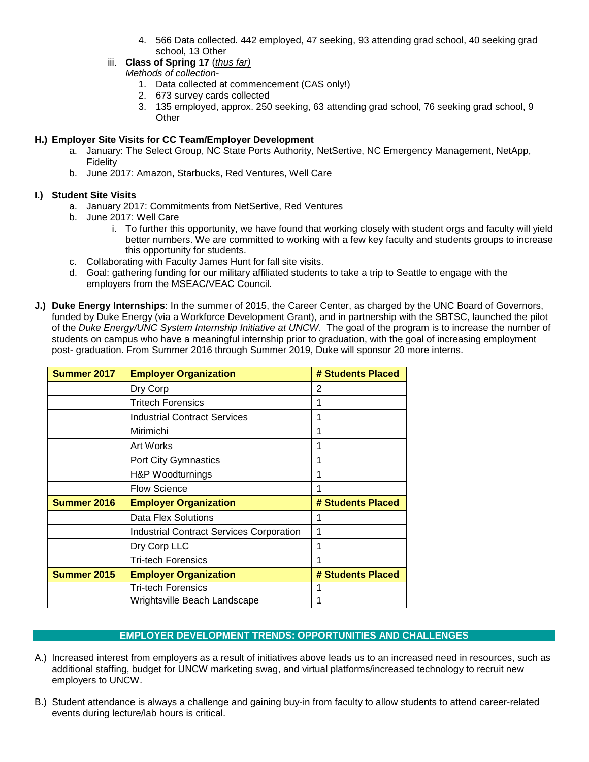- 4. 566 Data collected. 442 employed, 47 seeking, 93 attending grad school, 40 seeking grad school, 13 Other
- iii. **Class of Spring 17** (*thus far)*
	- *Methods of collection-*
		- 1. Data collected at commencement (CAS only!)
		- 2. 673 survey cards collected
		- 3. 135 employed, approx. 250 seeking, 63 attending grad school, 76 seeking grad school, 9 **Other**

# **H.) Employer Site Visits for CC Team/Employer Development**

- a. January: The Select Group, NC State Ports Authority, NetSertive, NC Emergency Management, NetApp, Fidelity
- b. June 2017: Amazon, Starbucks, Red Ventures, Well Care

# **I.) Student Site Visits**

- a. January 2017: Commitments from NetSertive, Red Ventures
- b. June 2017: Well Care
	- i. To further this opportunity, we have found that working closely with student orgs and faculty will yield better numbers. We are committed to working with a few key faculty and students groups to increase this opportunity for students.
- c. Collaborating with Faculty James Hunt for fall site visits.
- d. Goal: gathering funding for our military affiliated students to take a trip to Seattle to engage with the employers from the MSEAC/VEAC Council.
- **J.) Duke Energy Internships**: In the summer of 2015, the Career Center, as charged by the UNC Board of Governors, funded by Duke Energy (via a Workforce Development Grant), and in partnership with the SBTSC, launched the pilot of the *Duke Energy/UNC System Internship Initiative at UNCW*. The goal of the program is to increase the number of students on campus who have a meaningful internship prior to graduation, with the goal of increasing employment post- graduation. From Summer 2016 through Summer 2019, Duke will sponsor 20 more interns.

| Summer 2017        | <b>Employer Organization</b>                    | # Students Placed |  |
|--------------------|-------------------------------------------------|-------------------|--|
|                    | Dry Corp                                        | 2                 |  |
|                    | <b>Tritech Forensics</b>                        | 1                 |  |
|                    | <b>Industrial Contract Services</b>             | 1                 |  |
|                    | Mirimichi                                       |                   |  |
|                    | <b>Art Works</b>                                |                   |  |
|                    | Port City Gymnastics                            | 1                 |  |
|                    | H&P Woodturnings                                | 1                 |  |
|                    | <b>Flow Science</b>                             |                   |  |
| Summer 2016        | <b>Employer Organization</b>                    | # Students Placed |  |
|                    | Data Flex Solutions                             |                   |  |
|                    | <b>Industrial Contract Services Corporation</b> |                   |  |
|                    | Dry Corp LLC                                    |                   |  |
|                    | <b>Tri-tech Forensics</b>                       |                   |  |
| <b>Summer 2015</b> | <b>Employer Organization</b>                    | # Students Placed |  |
|                    | <b>Tri-tech Forensics</b>                       |                   |  |
|                    | Wrightsville Beach Landscape                    |                   |  |

# **EMPLOYER DEVELOPMENT TRENDS: OPPORTUNITIES AND CHALLENGES**

- A.) Increased interest from employers as a result of initiatives above leads us to an increased need in resources, such as additional staffing, budget for UNCW marketing swag, and virtual platforms/increased technology to recruit new employers to UNCW.
- B.) Student attendance is always a challenge and gaining buy-in from faculty to allow students to attend career-related events during lecture/lab hours is critical.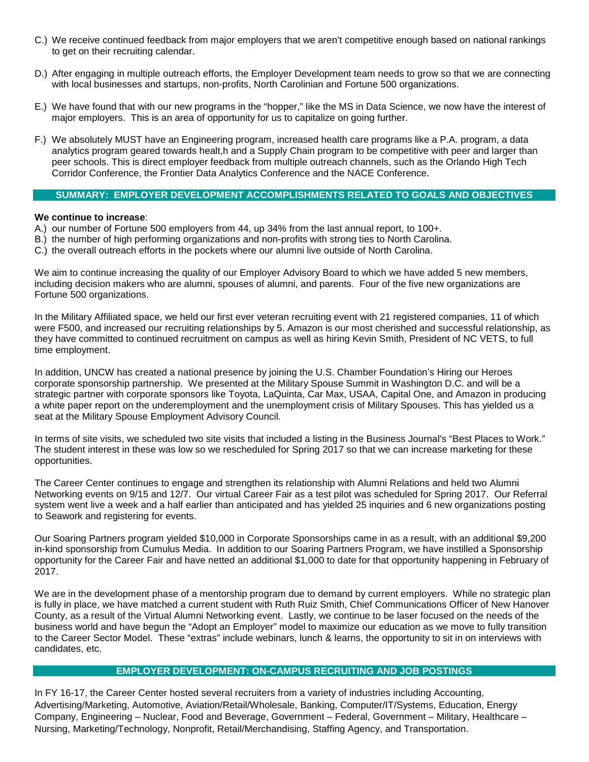- C.) We receive continued feedback from major employers that we aren't competitive enough based on national rankings to get on their recruiting calendar.
- D.) After engaging in multiple outreach efforts, the Employer Development team needs to grow so that we are connecting with local businesses and startups, non-profits, North Carolinian and Fortune 500 organizations.
- E.) We have found that with our new programs in the "hopper," like the MS in Data Science, we now have the interest of major employers. This is an area of opportunity for us to capitalize on going further.
- F.) We absolutely MUST have an Engineering program, increased health care programs like a P.A. program, a data analytics program geared towards healt,h and a Supply Chain program to be competitive with peer and larger than peer schools. This is direct employer feedback from multiple outreach channels, such as the Orlando High Tech Corridor Conference, the Frontier Data Analytics Conference and the NACE Conference.

## **SUMMARY: EMPLOYER DEVELOPMENT ACCOMPLISHMENTS RELATED TO GOALS AND OBJECTIVES**

## **We continue to increase**:

- A.) our number of Fortune 500 employers from 44, up 34% from the last annual report, to 100+.
- B.) the number of high performing organizations and non-profits with strong ties to North Carolina.
- C.) the overall outreach efforts in the pockets where our alumni live outside of North Carolina.

We aim to continue increasing the quality of our Employer Advisory Board to which we have added 5 new members, including decision makers who are alumni, spouses of alumni, and parents. Four of the five new organizations are Fortune 500 organizations.

In the Military Affiliated space, we held our first ever veteran recruiting event with 21 registered companies, 11 of which were F500, and increased our recruiting relationships by 5. Amazon is our most cherished and successful relationship, as they have committed to continued recruitment on campus as well as hiring Kevin Smith, President of NC VETS, to full time employment.

In addition, UNCW has created a national presence by joining the U.S. Chamber Foundation's Hiring our Heroes corporate sponsorship partnership. We presented at the Military Spouse Summit in Washington D.C. and will be a strategic partner with corporate sponsors like Toyota, LaQuinta, Car Max, USAA, Capital One, and Amazon in producing a white paper report on the underemployment and the unemployment crisis of Military Spouses. This has yielded us a seat at the Military Spouse Employment Advisory Council.

In terms of site visits, we scheduled two site visits that included a listing in the Business Journal's "Best Places to Work." The student interest in these was low so we rescheduled for Spring 2017 so that we can increase marketing for these opportunities.

The Career Center continues to engage and strengthen its relationship with Alumni Relations and held two Alumni Networking events on 9/15 and 12/7. Our virtual Career Fair as a test pilot was scheduled for Spring 2017. Our Referral system went live a week and a half earlier than anticipated and has yielded 25 inquiries and 6 new organizations posting to Seawork and registering for events.

Our Soaring Partners program yielded \$10,000 in Corporate Sponsorships came in as a result, with an additional \$9,200 in-kind sponsorship from Cumulus Media. In addition to our Soaring Partners Program, we have instilled a Sponsorship opportunity for the Career Fair and have netted an additional \$1,000 to date for that opportunity happening in February of 2017.

We are in the development phase of a mentorship program due to demand by current employers. While no strategic plan is fully in place, we have matched a current student with Ruth Ruiz Smith, Chief Communications Officer of New Hanover County, as a result of the Virtual Alumni Networking event. Lastly, we continue to be laser focused on the needs of the business world and have begun the "Adopt an Employer" model to maximize our education as we move to fully transition to the Career Sector Model. These "extras" include webinars, lunch & learns, the opportunity to sit in on interviews with candidates, etc.

## **EMPLOYER DEVELOPMENT: ON-CAMPUS RECRUITING AND JOB POSTINGS**

In FY 16-17, the Career Center hosted several recruiters from a variety of industries including Accounting, Advertising/Marketing, Automotive, Aviation/Retail/Wholesale, Banking, Computer/IT/Systems, Education, Energy Company, Engineering – Nuclear, Food and Beverage, Government – Federal, Government – Military, Healthcare – Nursing, Marketing/Technology, Nonprofit, Retail/Merchandising, Staffing Agency, and Transportation.